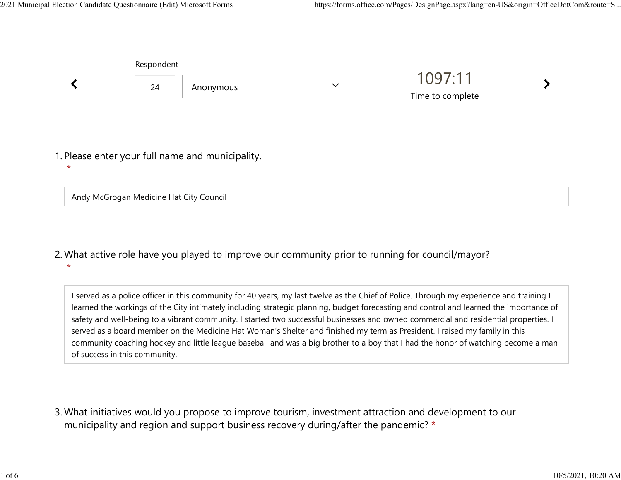|         | Respondent |                                                  |              |                             |  |  |
|---------|------------|--------------------------------------------------|--------------|-----------------------------|--|--|
|         | 24         | Anonymous                                        | $\checkmark$ | 1097:11<br>Time to complete |  |  |
|         |            |                                                  |              |                             |  |  |
| $\star$ |            | 1. Please enter your full name and municipality. |              |                             |  |  |

Andy McGrogan Medicine Hat City Council

What active role have you played to improve our community prior to running for council/mayor? 2. \*

I served as a police officer in this community for 40 years, my last twelve as the Chief of Police. Through my experience and training I learned the workings of the City intimately including strategic planning, budget forecasting and control and learned the importance of safety and well-being to a vibrant community. I started two successful businesses and owned commercial and residential properties. I served as a board member on the Medicine Hat Woman's Shelter and finished my term as President. I raised my family in this community coaching hockey and little league baseball and was a big brother to a boy that I had the honor of watching become a man of success in this community.

What initiatives would you propose to improve tourism, investment attraction and development to our 3. municipality and region and support business recovery during/after the pandemic? \*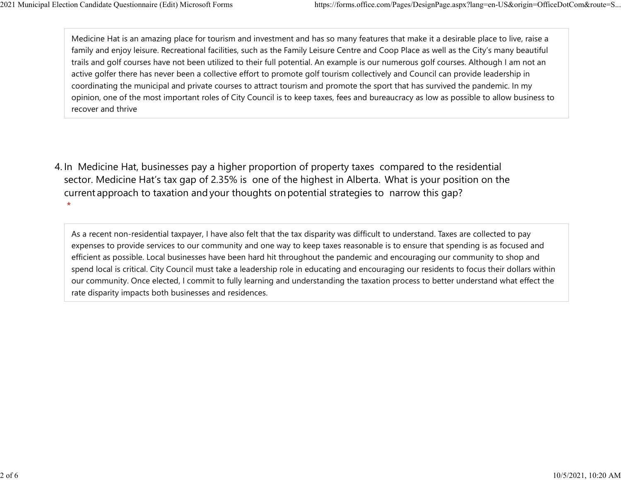Medicine Hat is an amazing place for tourism and investment and has so many features that make it a desirable place to live, raise a family and enjoy leisure. Recreational facilities, such as the Family Leisure Centre and Coop Place as well as the City's many beautiful trails and golf courses have not been utilized to their full potential. An example is our numerous golf courses. Although I am not an active golfer there has never been a collective effort to promote golf tourism collectively and Council can provide leadership in coordinating the municipal and private courses to attract tourism and promote the sport that has survived the pandemic. In my opinion, one of the most important roles of City Council is to keep taxes, fees and bureaucracy as low as possible to allow business to recover and thrive 2021 Municipal Election Candidate Questionnaire (Edit) Microsoft Forms https://forms.office.com/Pages/DesignPage.aspx?lang=en-US&origin=OfficeDotCom&route=S...<br>Medicine Hat is an amazing place for tourism and investment an

4. In Medicine Hat, businesses pay a higher proportion of property taxes compared to the residential sector.  Medicine Hat's tax gap of 2.35% is one of the highest in Alberta.  What is your position on the current approach to taxation and your thoughts on potential strategies to narrow this gap?  $\star$ 

As a recent non-residential taxpayer, I have also felt that the tax disparity was difficult to understand. Taxes are collected to pay expenses to provide services to our community and one way to keep taxes reasonable is to ensure that spending is as focused and efficient as possible. Local businesses have been hard hit throughout the pandemic and encouraging our community to shop and spend local is critical. City Council must take a leadership role in educating and encouraging our residents to focus their dollars within our community. Once elected, I commit to fully learning and understanding the taxation process to better understand what effect the rate disparity impacts both businesses and residences.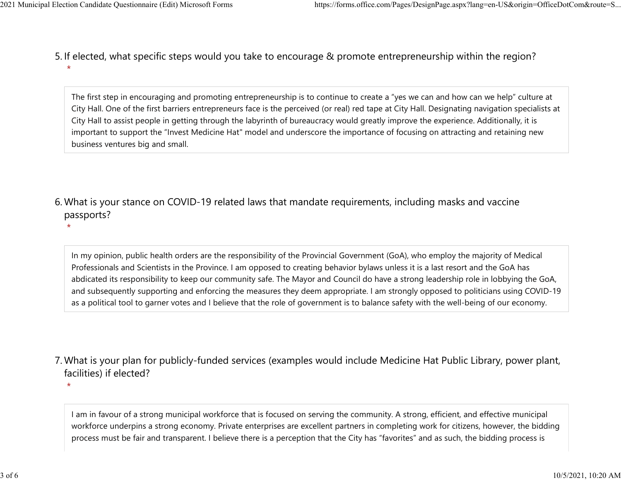$\star$ 

 $\star$ 

5. If elected, what specific steps would you take to encourage & promote entrepreneurship within the region?  $\star$ 2021 Municipal Election Candidate Questionnaire (Edit) Microsoft Forms https://forms.office.com/Pages/DesignPage.aspx?lang=en-US&origin=OfficeDotCom&route=S...<br>5. If elected what specific steps would you take to encourage

> The first step in encouraging and promoting entrepreneurship is to continue to create a "yes we can and how can we help" culture at City Hall. One of the first barriers entrepreneurs face is the perceived (or real) red tape at City Hall. Designating navigation specialists at City Hall to assist people in getting through the labyrinth of bureaucracy would greatly improve the experience. Additionally, it is important to support the "Invest Medicine Hat" model and underscore the importance of focusing on attracting and retaining new business ventures big and small.

What is your stance on COVID-19 related laws that mandate requirements, including masks and vaccine 6. passports?

In my opinion, public health orders are the responsibility of the Provincial Government (GoA), who employ the majority of Medical Professionals and Scientists in the Province. I am opposed to creating behavior bylaws unless it is a last resort and the GoA has abdicated its responsibility to keep our community safe. The Mayor and Council do have a strong leadership role in lobbying the GoA, and subsequently supporting and enforcing the measures they deem appropriate. I am strongly opposed to politicians using COVID-19 as a political tool to garner votes and I believe that the role of government is to balance safety with the well-being of our economy.

What is your plan for publicly-funded services (examples would include Medicine Hat Public Library, power plant, 7. facilities) if elected?

I am in favour of a strong municipal workforce that is focused on serving the community. A strong, efficient, and effective municipal workforce underpins a strong economy. Private enterprises are excellent partners in completing work for citizens, however, the bidding process must be fair and transparent. I believe there is a perception that the City has "favorites" and as such, the bidding process is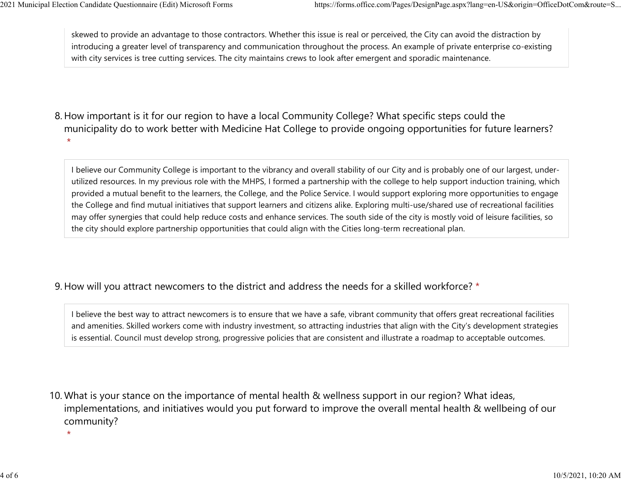skewed to provide an advantage to those contractors. Whether this issue is real or perceived, the City can avoid the distraction by introducing a greater level of transparency and communication throughout the process. An example of private enterprise co-existing with city services is tree cutting services. The city maintains crews to look after emergent and sporadic maintenance. 2021 Municipal Election Candidate Questionnaire (Edit) Microsoft Forms https://forms.office.com/Pages/DesignPage.aspx?lang=en-US&origin=OfficeDotCom&route=S...<br>
skewed to provide an advantage to those contractors. Whether

8. How important is it for our region to have a local Community College? What specific steps could the municipality do to work better with Medicine Hat College to provide ongoing opportunities for future learners?  $\star$ 

I believe our Community College is important to the vibrancy and overall stability of our City and is probably one of our largest, underutilized resources. In my previous role with the MHPS, I formed a partnership with the college to help support induction training, which provided a mutual benefit to the learners, the College, and the Police Service. I would support exploring more opportunities to engage the College and find mutual initiatives that support learners and citizens alike. Exploring multi-use/shared use of recreational facilities may offer synergies that could help reduce costs and enhance services. The south side of the city is mostly void of leisure facilities, so the city should explore partnership opportunities that could align with the Cities long-term recreational plan.

## 9. How will you attract newcomers to the district and address the needs for a skilled workforce? \*

I believe the best way to attract newcomers is to ensure that we have a safe, vibrant community that offers great recreational facilities and amenities. Skilled workers come with industry investment, so attracting industries that align with the City's development strategies is essential. Council must develop strong, progressive policies that are consistent and illustrate a roadmap to acceptable outcomes.

10. What is your stance on the importance of mental health & wellness support in our region? What ideas, implementations, and initiatives would you put forward to improve the overall mental health & wellbeing of our community?

 $\star$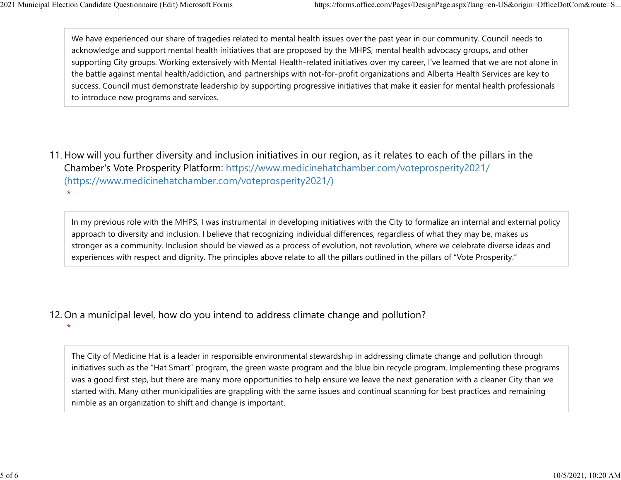$\star$ 

We have experienced our share of tragedies related to mental health issues over the past year in our community. Council needs to acknowledge and support mental health initiatives that are proposed by the MHPS, mental health advocacy groups, and other supporting City groups. Working extensively with Mental Health-related initiatives over my career, I've learned that we are not alone in the battle against mental health/addiction, and partnerships with not-for-profit organizations and Alberta Health Services are key to success. Council must demonstrate leadership by supporting progressive initiatives that make it easier for mental health professionals to introduce new programs and services. 2021 Municipal Election Candidate Questionnaire (Edit) Microsoft Forms https://forms.office.com/Pages/DesignPage.aspx?lang=en-US&origin=OfficeDotCom&route=S...<br>We have experienced our share of tragedies related to mental h

11. How will you further diversity and inclusion initiatives in our region, as it relates to each of the pillars in the Chamber's Vote Prosperity Platform: https://www.medicinehatchamber.com/voteprosperity2021/ (https://www.medicinehatchamber.com/voteprosperity2021/)  $\star$ 

In my previous role with the MHPS, I was instrumental in developing initiatives with the City to formalize an internal and external policy approach to diversity and inclusion. I believe that recognizing individual differences, regardless of what they may be, makes us stronger as a community. Inclusion should be viewed as a process of evolution, not revolution, where we celebrate diverse ideas and experiences with respect and dignity. The principles above relate to all the pillars outlined in the pillars of "Vote Prosperity."

12. On a municipal level, how do you intend to address climate change and pollution?

The City of Medicine Hat is a leader in responsible environmental stewardship in addressing climate change and pollution through initiatives such as the "Hat Smart" program, the green waste program and the blue bin recycle program. Implementing these programs was a good first step, but there are many more opportunities to help ensure we leave the next generation with a cleaner City than we started with. Many other municipalities are grappling with the same issues and continual scanning for best practices and remaining nimble as an organization to shift and change is important.